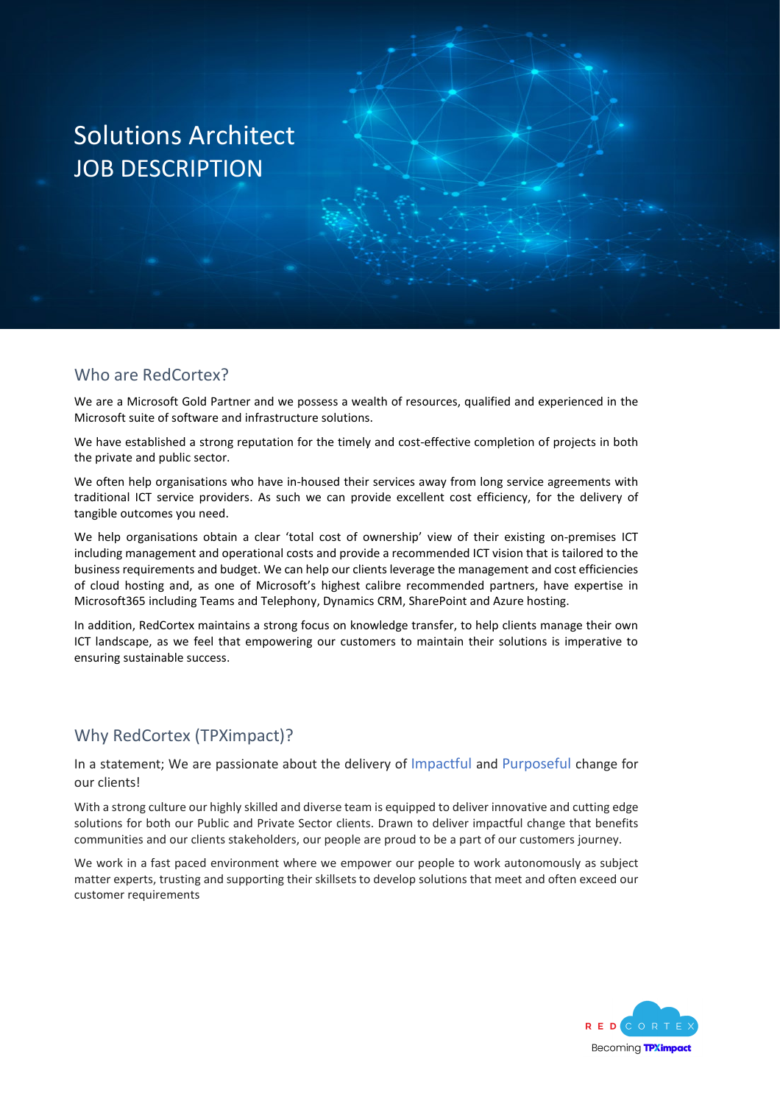### Who are RedCortex?

We are a Microsoft Gold Partner and we possess a wealth of resources, qualified and experienced in the Microsoft suite of software and infrastructure solutions.

We have established a strong reputation for the timely and cost-effective completion of projects in both the private and public sector.

We often help organisations who have in-housed their services away from long service agreements with traditional ICT service providers. As such we can provide excellent cost efficiency, for the delivery of tangible outcomes you need.

We help organisations obtain a clear 'total cost of ownership' view of their existing on-premises ICT including management and operational costs and provide a recommended ICT vision that is tailored to the business requirements and budget. We can help our clients leverage the management and cost efficiencies of cloud hosting and, as one of Microsoft's highest calibre recommended partners, have expertise in Microsoft365 including Teams and Telephony, Dynamics CRM, SharePoint and Azure hosting.

In addition, RedCortex maintains a strong focus on knowledge transfer, to help clients manage their own ICT landscape, as we feel that empowering our customers to maintain their solutions is imperative to ensuring sustainable success.

### Why RedCortex (TPXimpact)?

In a statement; We are passionate about the delivery of Impactful and Purposeful change for our clients!

With a strong culture our highly skilled and diverse team is equipped to deliver innovative and cutting edge solutions for both our Public and Private Sector clients. Drawn to deliver impactful change that benefits communities and our clients stakeholders, our people are proud to be a part of our customers journey.

We work in a fast paced environment where we empower our people to work autonomously as subject matter experts, trusting and supporting their skillsets to develop solutions that meet and often exceed our customer requirements

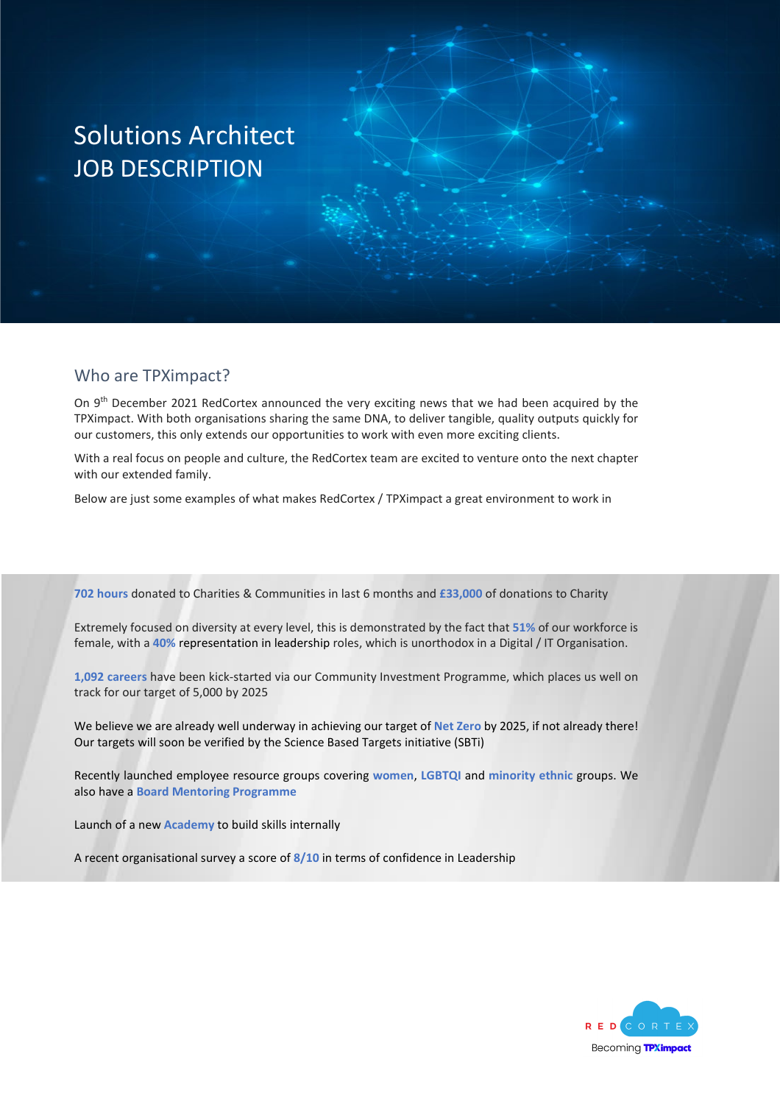#### Who are TPXimpact?

On 9<sup>th</sup> December 2021 RedCortex announced the very exciting news that we had been acquired by the TPXimpact. With both organisations sharing the same DNA, to deliver tangible, quality outputs quickly for our customers, this only extends our opportunities to work with even more exciting clients.

With a real focus on people and culture, the RedCortex team are excited to venture onto the next chapter with our extended family.

Below are just some examples of what makes RedCortex / TPXimpact a great environment to work in

**702 hours** donated to Charities & Communities in last 6 months and **£33,000** of donations to Charity

Extremely focused on diversity at every level, this is demonstrated by the fact that **51%** of our workforce is female, with a **40%** representation in leadership roles, which is unorthodox in a Digital / IT Organisation.

**1,092 careers** have been kick-started via our Community Investment Programme, which places us well on track for our target of 5,000 by 2025

We believe we are already well underway in achieving our target of **Net Zero** by 2025, if not already there! Our targets will soon be verified by the Science Based Targets initiative (SBTi)

Recently launched employee resource groups covering **women**, **LGBTQI** and **minority ethnic** groups. We also have a **Board Mentoring Programme**

Launch of a new **Academy** to build skills internally

A recent organisational survey a score of **8/10** in terms of confidence in Leadership

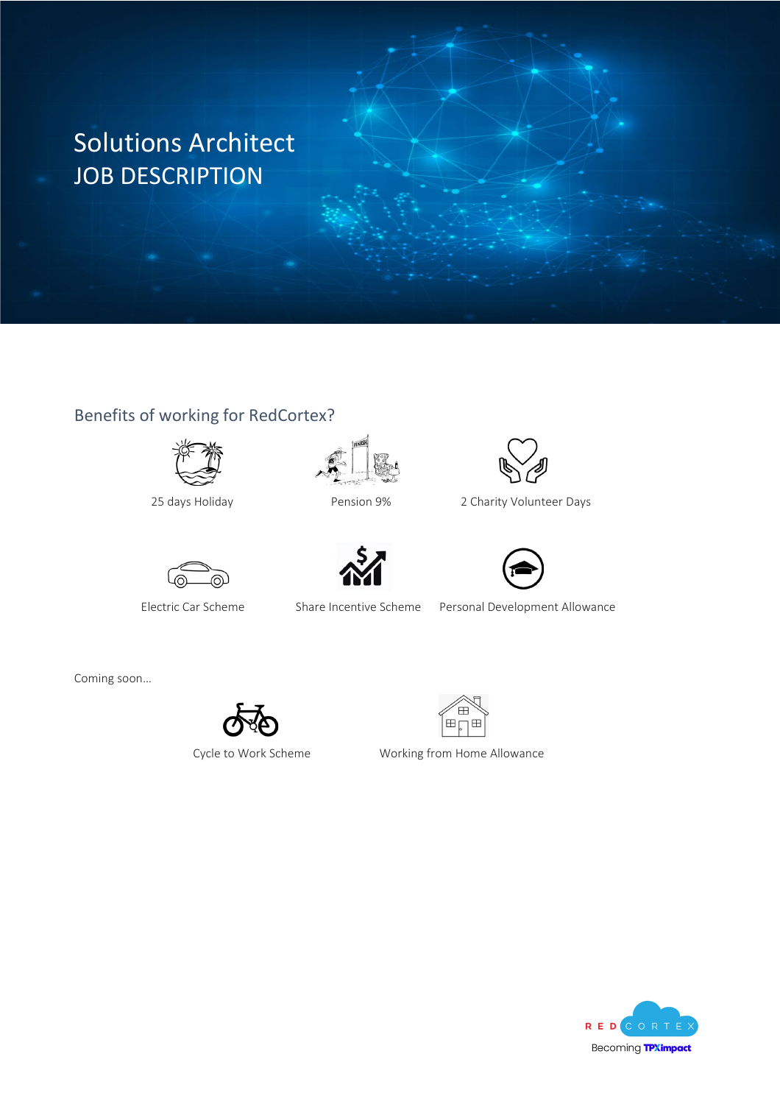### Benefits of working for RedCortex?









25 days Holiday Pension 9% 2 Charity Volunteer Days



Electric Car Scheme Share Incentive Scheme Personal Development Allowance

Coming soon…





Cycle to Work Scheme Working from Home Allowance

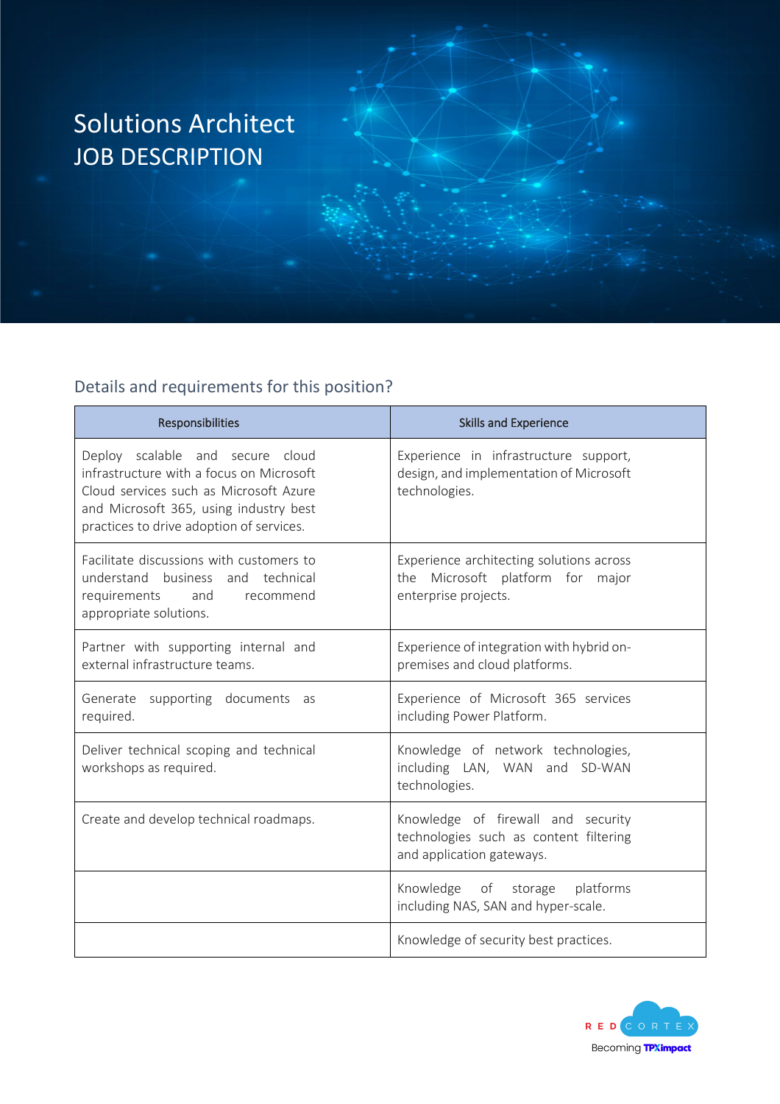### Details and requirements for this position?

| <b>Responsibilities</b>                                                                                                                                                                                      | <b>Skills and Experience</b>                                                                              |
|--------------------------------------------------------------------------------------------------------------------------------------------------------------------------------------------------------------|-----------------------------------------------------------------------------------------------------------|
| Deploy scalable and secure cloud<br>infrastructure with a focus on Microsoft<br>Cloud services such as Microsoft Azure<br>and Microsoft 365, using industry best<br>practices to drive adoption of services. | Experience in infrastructure support,<br>design, and implementation of Microsoft<br>technologies.         |
| Facilitate discussions with customers to<br>understand business and technical<br>requirements<br>and<br>recommend<br>appropriate solutions.                                                                  | Experience architecting solutions across<br>the Microsoft platform for<br>major<br>enterprise projects.   |
| Partner with supporting internal and<br>external infrastructure teams.                                                                                                                                       | Experience of integration with hybrid on-<br>premises and cloud platforms.                                |
| Generate supporting documents as<br>required.                                                                                                                                                                | Experience of Microsoft 365 services<br>including Power Platform.                                         |
| Deliver technical scoping and technical<br>workshops as required.                                                                                                                                            | Knowledge of network technologies,<br>including LAN, WAN and SD-WAN<br>technologies.                      |
| Create and develop technical roadmaps.                                                                                                                                                                       | Knowledge of firewall and security<br>technologies such as content filtering<br>and application gateways. |
|                                                                                                                                                                                                              | Knowledge of storage<br>platforms<br>including NAS, SAN and hyper-scale.                                  |
|                                                                                                                                                                                                              | Knowledge of security best practices.                                                                     |